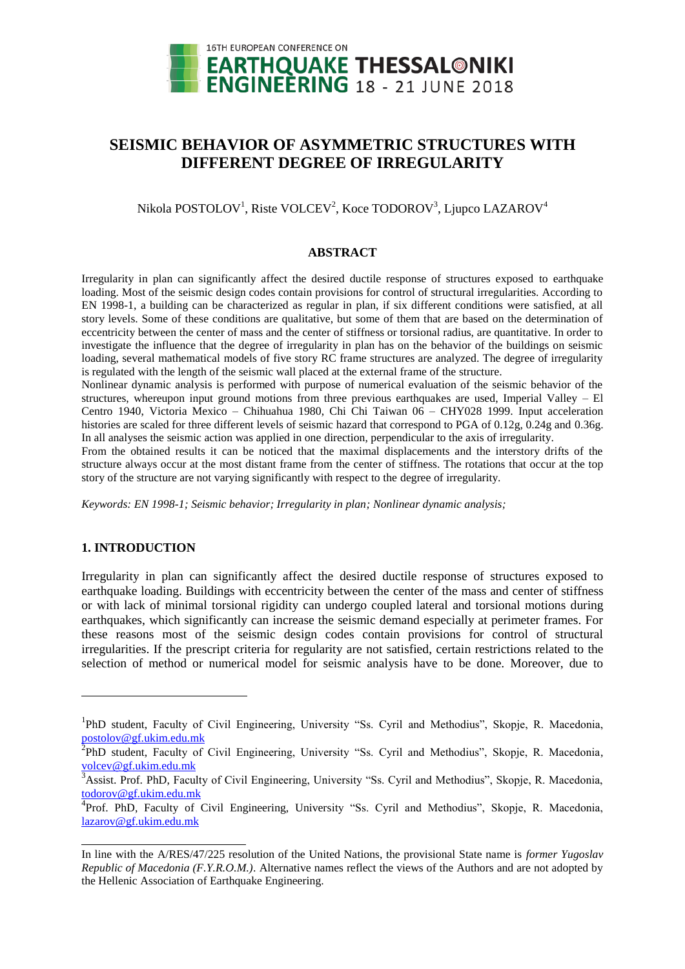

# **SEISMIC BEHAVIOR OF ASYMMETRIC STRUCTURES WITH DIFFERENT DEGREE OF IRREGULARITY**

Nikola POSTOLOV<sup>1</sup>, Riste VOLCEV<sup>2</sup>, Koce TODOROV<sup>3</sup>, Ljupco LAZAROV<sup>4</sup>

# **ABSTRACT**

Irregularity in plan can significantly affect the desired ductile response of structures exposed to earthquake loading. Most of the seismic design codes contain provisions for control of structural irregularities. According to EN 1998-1, a building can be characterized as regular in plan, if six different conditions were satisfied, at all story levels. Some of these conditions are qualitative, but some of them that are based on the determination of eccentricity between the center of mass and the center of stiffness or torsional radius, are quantitative. In order to investigate the influence that the degree of irregularity in plan has on the behavior of the buildings on seismic loading, several mathematical models of five story RC frame structures are analyzed. The degree of irregularity is regulated with the length of the seismic wall placed at the external frame of the structure.

Nonlinear dynamic analysis is performed with purpose of numerical evaluation of the seismic behavior of the structures, whereupon input ground motions from three previous earthquakes are used, Imperial Valley – El Centro 1940, Victoria Mexico – Chihuahua 1980, Chi Chi Taiwan 06 – CHY028 1999. Input acceleration histories are scaled for three different levels of seismic hazard that correspond to PGA of 0.12g, 0.24g and 0.36g. In all analyses the seismic action was applied in one direction, perpendicular to the axis of irregularity.

From the obtained results it can be noticed that the maximal displacements and the interstory drifts of the structure always occur at the most distant frame from the center of stiffness. The rotations that occur at the top story of the structure are not varying significantly with respect to the degree of irregularity.

*Keywords: EN 1998-1; Seismic behavior; Irregularity in plan; Nonlinear dynamic analysis;*

# **1. INTRODUCTION**

l

Irregularity in plan can significantly affect the desired ductile response of structures exposed to earthquake loading. Buildings with eccentricity between the center of the mass and center of stiffness or with lack of minimal torsional rigidity can undergo coupled lateral and torsional motions during earthquakes, which significantly can increase the seismic demand especially at perimeter frames. For these reasons most of the seismic design codes contain provisions for control of structural irregularities. If the prescript criteria for regularity are not satisfied, certain restrictions related to the selection of method or numerical model for seismic analysis have to be done. Moreover, due to

<sup>&</sup>lt;sup>1</sup>PhD student, Faculty of Civil Engineering, University "Ss. Cyril and Methodius", Skopje, R. Macedonia, [postolov@gf.ukim.edu.mk](mailto:postolov@gf.ukim.edu.mk)

<sup>&</sup>lt;sup>2</sup>PhD student, Faculty of Civil Engineering, University "Ss. Cyril and Methodius", Skopje, R. Macedonia, [volcev@gf.ukim.edu.mk](mailto:volcev@gf.ukim.edu.mk)

<sup>&</sup>lt;sup>3</sup>Assist. Prof. PhD, Faculty of Civil Engineering, University "Ss. Cyril and Methodius", Skopje, R. Macedonia, [todorov@gf.ukim.edu.mk](mailto:todorov@gf.ukim.edu.mk)

<sup>&</sup>lt;sup>4</sup>Prof. PhD, Faculty of Civil Engineering, University "Ss. Cyril and Methodius", Skopje, R. Macedonia, [lazarov@gf.ukim.edu.mk](mailto:lazarov@gf.ukim.edu.mk)

In line with the A/RES/47/225 resolution of the United Nations, the provisional State name is *former Yugoslav Republic of Macedonia (F.Y.R.O.M.)*. Alternative names reflect the views of the Authors and are not adopted by the Hellenic Association of Earthquake Engineering.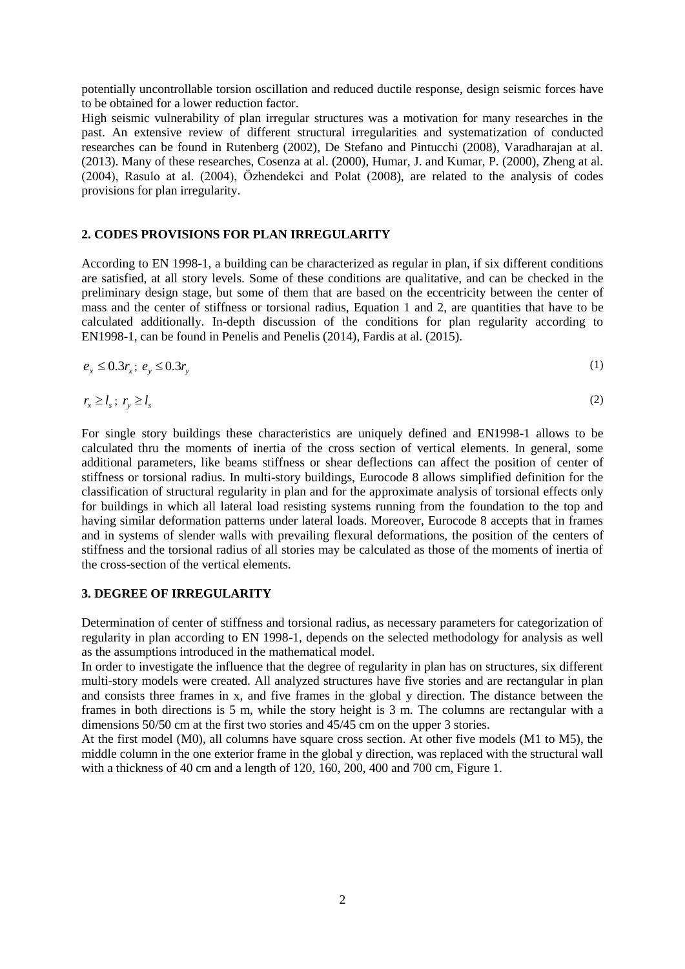potentially uncontrollable torsion oscillation and reduced ductile response, design seismic forces have to be obtained for a lower reduction factor.

High seismic vulnerability of plan irregular structures was a motivation for many researches in the past. An extensive review of different structural irregularities and systematization of conducted researches can be found in Rutenberg (2002), De Stefano and Pintucchi (2008), Varadharajan at al. (2013). Many of these researches, Cosenza at al. (2000), Humar, J. and Kumar, P. (2000), Zheng at al. (2004), Rasulo at al. (2004), Özhendekci and Polat (2008), are related to the analysis of codes provisions for plan irregularity.

# **2. CODES PROVISIONS FOR PLAN IRREGULARITY**

According to EN 1998-1, a building can be characterized as regular in plan, if six different conditions are satisfied, at all story levels. Some of these conditions are qualitative, and can be checked in the preliminary design stage, but some of them that are based on the eccentricity between the center of mass and the center of stiffness or torsional radius, Equation 1 and 2, are quantities that have to be calculated additionally. In-depth discussion of the conditions for plan regularity according to EN1998-1, can be found in Penelis and Penelis (2014), Fardis at al. (2015).

$$
e_x \le 0.3r_x; \, e_y \le 0.3r_y \tag{1}
$$

$$
r_x \ge l_s \; ; \; r_y \ge l_s \tag{2}
$$

For single story buildings these characteristics are uniquely defined and EN1998-1 allows to be calculated thru the moments of inertia of the cross section of vertical elements. In general, some additional parameters, like beams stiffness or shear deflections can affect the position of center of stiffness or torsional radius. In multi-story buildings, Eurocode 8 allows simplified definition for the classification of structural regularity in plan and for the approximate analysis of torsional effects only for buildings in which all lateral load resisting systems running from the foundation to the top and having similar deformation patterns under lateral loads. Moreover, Eurocode 8 accepts that in frames and in systems of slender walls with prevailing flexural deformations, the position of the centers of stiffness and the torsional radius of all stories may be calculated as those of the moments of inertia of the cross-section of the vertical elements.

#### **3. DEGREE OF IRREGULARITY**

Determination of center of stiffness and torsional radius, as necessary parameters for categorization of regularity in plan according to EN 1998-1, depends on the selected methodology for analysis as well as the assumptions introduced in the mathematical model.

In order to investigate the influence that the degree of regularity in plan has on structures, six different multi-story models were created. All analyzed structures have five stories and are rectangular in plan and consists three frames in x, and five frames in the global y direction. The distance between the frames in both directions is 5 m, while the story height is 3 m. The columns are rectangular with a dimensions 50/50 cm at the first two stories and 45/45 cm on the upper 3 stories.

At the first model (M0), all columns have square cross section. At other five models (M1 to M5), the middle column in the one exterior frame in the global y direction, was replaced with the structural wall with a thickness of 40 cm and a length of 120, 160, 200, 400 and 700 cm, Figure 1.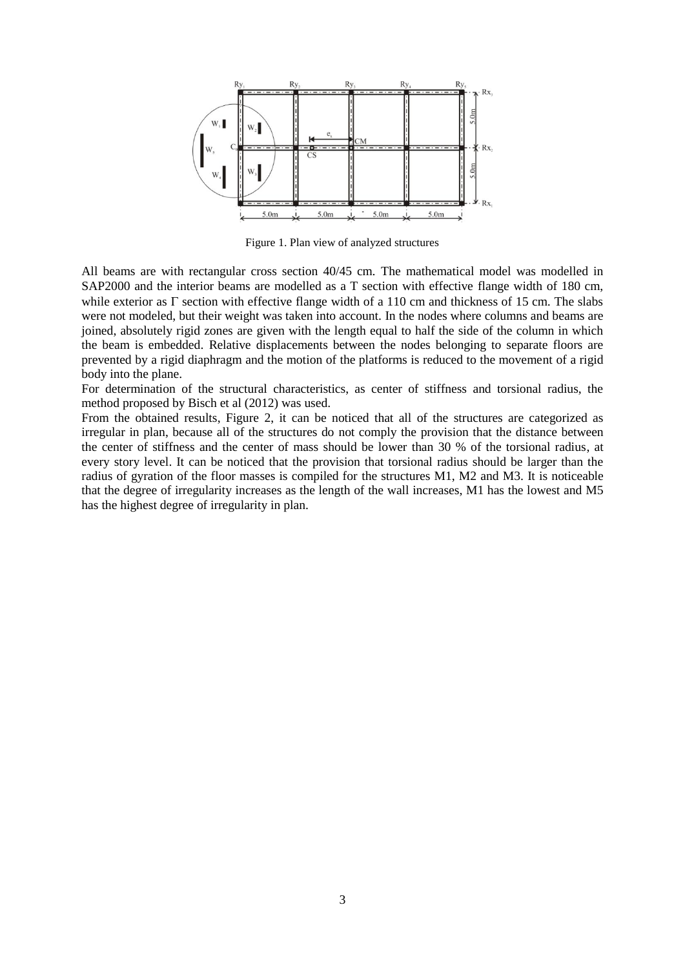

Figure 1. Plan view of analyzed structures

All beams are with rectangular cross section 40/45 cm. The mathematical model was modelled in SAP2000 and the interior beams are modelled as a T section with effective flange width of 180 cm, while exterior as  $\Gamma$  section with effective flange width of a 110 cm and thickness of 15 cm. The slabs were not modeled, but their weight was taken into account. In the nodes where columns and beams are joined, absolutely rigid zones are given with the length equal to half the side of the column in which the beam is embedded. Relative displacements between the nodes belonging to separate floors are prevented by a rigid diaphragm and the motion of the platforms is reduced to the movement of a rigid body into the plane.

For determination of the structural characteristics, as center of stiffness and torsional radius, the method proposed by Bisch et al (2012) was used.

From the obtained results, Figure 2, it can be noticed that all of the structures are categorized as irregular in plan, because all of the structures do not comply the provision that the distance between the center of stiffness and the center of mass should be lower than 30 % of the torsional radius, at every story level. It can be noticed that the provision that torsional radius should be larger than the radius of gyration of the floor masses is compiled for the structures M1, M2 and M3. It is noticeable that the degree of irregularity increases as the length of the wall increases, M1 has the lowest and M5 has the highest degree of irregularity in plan.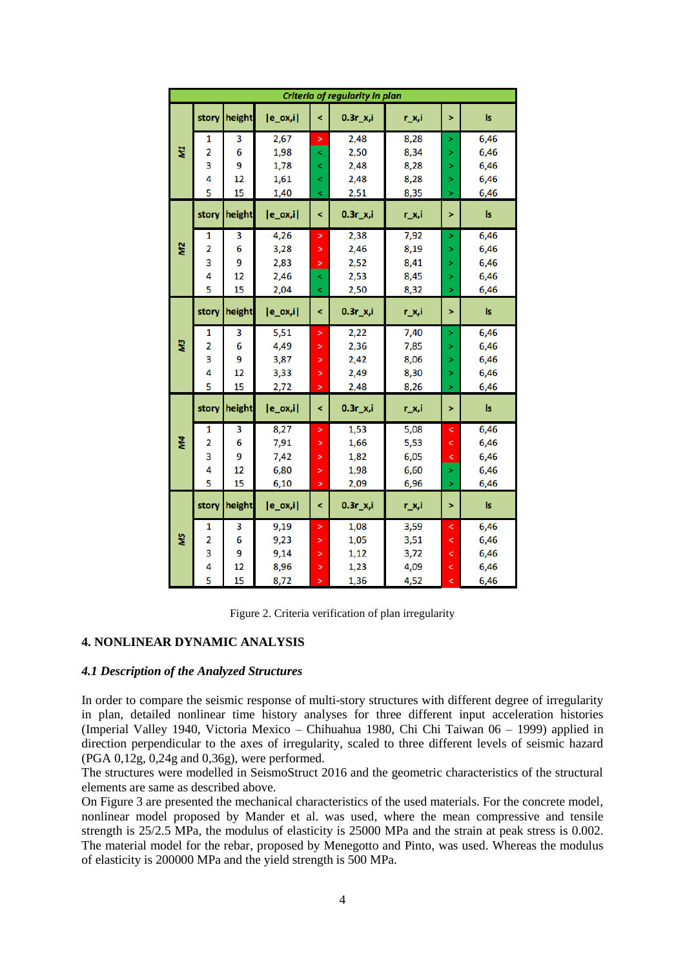| Criteria of regularity in plan |                         |              |              |                          |             |       |                          |           |
|--------------------------------|-------------------------|--------------|--------------|--------------------------|-------------|-------|--------------------------|-----------|
| ZW                             |                         | story height | $ e_{ox,i} $ | $\overline{\phantom{0}}$ | $0.3r_x$ ,i | r_x,i | >                        | Is        |
|                                | 1                       | 3            | 2,67         | >                        | 2,48        | 8,28  | >                        | 6,46      |
|                                | $\overline{\mathbf{2}}$ | 6            | 1,98         | $\,<$                    | 2,50        | 8,34  | ×                        | 6,46      |
|                                | 3                       | 9            | 1,78         | $\prec$                  | 2,48        | 8,28  | >                        | 6,46      |
|                                | 4                       | 12           | 1,61         | $\,<\,$                  | 2,48        | 8,28  | >                        | 6,46      |
|                                | 5                       | 15           | 1,40         | $\prec$                  | 2,51        | 8,35  | >                        | 6,46      |
| Μ <sub>2</sub>                 | story                   | height       | $ e_{ox,i} $ | $\overline{\phantom{0}}$ | $0.3r_x$ ,i | r_x,i | >                        | ls.       |
|                                | 1                       | 3            | 4,26         | ×                        | 2,38        | 7,92  | >                        | 6,46      |
|                                | 2                       | 6            | 3,28         | ×                        | 2,46        | 8,19  | >                        | 6,46      |
|                                | 3                       | 9            | 2,83         | ×                        | 2,52        | 8,41  | >                        | 6,46      |
|                                | 4                       | 12           | 2,46         | ≺                        | 2,53        | 8,45  | >                        | 6,46      |
|                                | 5                       | 15           | 2,04         | $\prec$                  | 2,50        | 8,32  | >                        | 6,46      |
| EW                             | story                   | height       | $ e_{ox,i} $ | $\prec$                  | $0.3r_x$ ,i | r_x,i | >                        | ls        |
|                                | 1                       | 3            | 5,51         | ×                        | 2,22        | 7,40  | >                        | 6,46      |
|                                | 2                       | 6            | 4,49         | $\geq$                   | 2,36        | 7,85  | >                        | 6,46      |
|                                | 3                       | 9            | 3,87         | >                        | 2,42        | 8,06  | >                        | 6,46      |
|                                | 4                       | 12           | 3,33         | >                        | 2,49        | 8,30  | >                        | 6,46      |
|                                | 5                       | 15           | 2,72         | >                        | 2,48        | 8,26  | Ы                        | 6,46      |
| M4                             | story                   | height       | $ e_ox,i $   | ≺                        | $0.3r_x$ ,i | r_x,i | >                        | Is        |
|                                | 1                       | 3            | 8,27         | ×                        | 1,53        | 5,08  | <                        | 6,46      |
|                                | 2                       | 6            | 7,91         | >                        | 1,66        | 5,53  | ≺                        | 6,46      |
|                                | 3                       | 9            | 7,42         | >                        | 1,82        | 6,05  | ≺                        | 6,46      |
|                                | 4                       | 12           | 6,80         | >                        | 1,98        | 6,60  | ×                        | 6,46      |
|                                | 5                       | 15           | 6,10         | >                        | 2,09        | 6,96  | >                        | 6,46      |
| ΜŚ                             | story                   | height       | $[e_ox,i]$   | $\overline{\phantom{a}}$ | $0.3r_x$ ,i | r_x,i | >                        | <b>Is</b> |
|                                | 1                       | 3            | 9,19         | >                        | 1,08        | 3,59  | ≺                        | 6,46      |
|                                | 2                       | 6            | 9,23         | >                        | 1,05        | 3,51  | $\overline{\phantom{0}}$ | 6,46      |
|                                | 3                       | 9            | 9,14         | >                        | 1,12        | 3,72  | $\,<$                    | 6,46      |
|                                | 4                       | 12           | 8,96         | >                        | 1,23        | 4,09  | <                        | 6,46      |
|                                | 5                       | 15           | 8,72         | >                        | 1,36        | 4,52  | ₹                        | 6,46      |

Figure 2. Criteria verification of plan irregularity

# **4. NONLINEAR DYNAMIC ANALYSIS**

#### *4.1 Description of the Analyzed Structures*

In order to compare the seismic response of multi-story structures with different degree of irregularity in plan, detailed nonlinear time history analyses for three different input acceleration histories (Imperial Valley 1940, Victoria Mexico – Chihuahua 1980, Chi Chi Taiwan 06 – 1999) applied in direction perpendicular to the axes of irregularity, scaled to three different levels of seismic hazard (PGA 0,12g, 0,24g and 0,36g), were performed.

The structures were modelled in SeismoStruct 2016 and the geometric characteristics of the structural elements are same as described above.

On Figure 3 are presented the mechanical characteristics of the used materials. For the concrete model, nonlinear model proposed by Mander et al. was used, where the mean compressive and tensile strength is 25/2.5 MPa, the modulus of elasticity is 25000 MPa and the strain at peak stress is 0.002. The material model for the rebar, proposed by Menegotto and Pinto, was used. Whereas the modulus of elasticity is 200000 MPa and the yield strength is 500 MPa.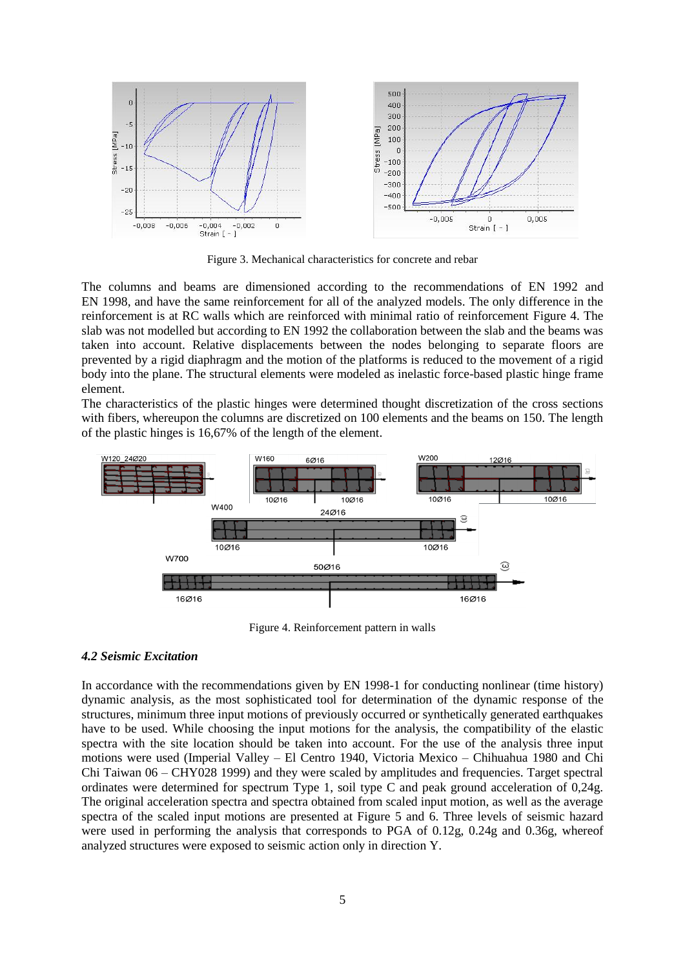

Figure 3. Mechanical characteristics for concrete and rebar

The columns and beams are dimensioned according to the recommendations of EN 1992 and EN 1998, and have the same reinforcement for all of the analyzed models. The only difference in the reinforcement is at RC walls which are reinforced with minimal ratio of reinforcement Figure 4. The slab was not modelled but according to EN 1992 the collaboration between the slab and the beams was taken into account. Relative displacements between the nodes belonging to separate floors are prevented by a rigid diaphragm and the motion of the platforms is reduced to the movement of a rigid body into the plane. The structural elements were modeled as inelastic force-based plastic hinge frame element.

The characteristics of the plastic hinges were determined thought discretization of the cross sections with fibers, whereupon the columns are discretized on 100 elements and the beams on 150. The length of the plastic hinges is 16,67% of the length of the element.



Figure 4. Reinforcement pattern in walls

# *4.2 Seismic Excitation*

In accordance with the recommendations given by EN 1998-1 for conducting nonlinear (time history) dynamic analysis, as the most sophisticated tool for determination of the dynamic response of the structures, minimum three input motions of previously occurred or synthetically generated earthquakes have to be used. While choosing the input motions for the analysis, the compatibility of the elastic spectra with the site location should be taken into account. For the use of the analysis three input motions were used (Imperial Valley – El Centro 1940, Victoria Mexico – Chihuahua 1980 and Chi Chi Taiwan 06 – CHY028 1999) and they were scaled by amplitudes and frequencies. Target spectral ordinates were determined for spectrum Type 1, soil type C and peak ground acceleration of 0,24g. The original acceleration spectra and spectra obtained from scaled input motion, as well as the average spectra of the scaled input motions are presented at Figure 5 and 6. Three levels of seismic hazard were used in performing the analysis that corresponds to PGA of 0.12g, 0.24g and 0.36g, whereof analyzed structures were exposed to seismic action only in direction Y.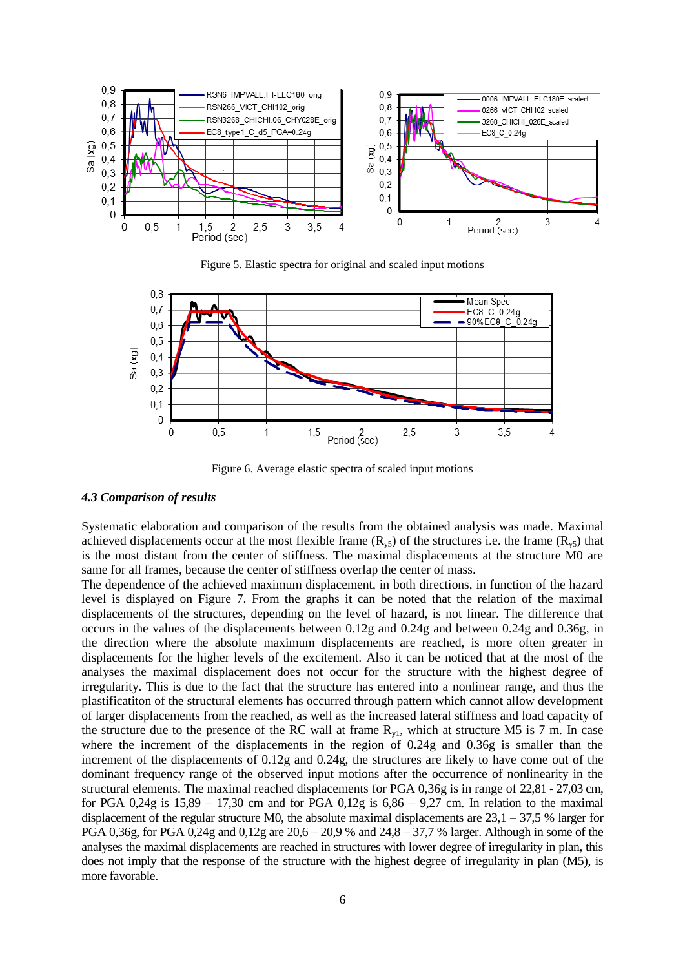

Figure 5. Elastic spectra for original and scaled input motions



Figure 6. Average elastic spectra of scaled input motions

#### *4.3 Comparison of results*

Systematic elaboration and comparison of the results from the obtained analysis was made. Maximal achieved displacements occur at the most flexible frame ( $R_{y5}$ ) of the structures i.e. the frame ( $R_{y5}$ ) that is the most distant from the center of stiffness. The maximal displacements at the structure M0 are same for all frames, because the center of stiffness overlap the center of mass.

The dependence of the achieved maximum displacement, in both directions, in function of the hazard level is displayed on Figure 7. From the graphs it can be noted that the relation of the maximal displacements of the structures, depending on the level of hazard, is not linear. The difference that occurs in the values of the displacements between 0.12g and 0.24g and between 0.24g and 0.36g, in the direction where the absolute maximum displacements are reached, is more often greater in displacements for the higher levels of the excitement. Also it can be noticed that at the most of the analyses the maximal displacement does not occur for the structure with the highest degree of irregularity. This is due to the fact that the structure has entered into a nonlinear range, and thus the plastificatiton of the structural elements has occurred through pattern which cannot allow development of larger displacements from the reached, as well as the increased lateral stiffness and load capacity of the structure due to the presence of the RC wall at frame  $R_{v1}$ , which at structure M5 is 7 m. In case where the increment of the displacements in the region of 0.24g and 0.36g is smaller than the increment of the displacements of 0.12g and 0.24g, the structures are likely to have come out of the dominant frequency range of the observed input motions after the occurrence of nonlinearity in the structural elements. The maximal reached displacements for PGA 0,36g is in range of 22,81 - 27,03 cm, for PGA  $0.24g$  is  $15.89 - 17.30$  cm and for PGA  $0.12g$  is  $6.86 - 9.27$  cm. In relation to the maximal displacement of the regular structure M0, the absolute maximal displacements are  $23.1 - 37.5$  % larger for PGA 0,36g, for PGA 0,24g and 0,12g are  $20.6 - 20.9$  % and  $24.8 - 37.7$  % larger. Although in some of the analyses the maximal displacements are reached in structures with lower degree of irregularity in plan, this does not imply that the response of the structure with the highest degree of irregularity in plan (M5), is more favorable.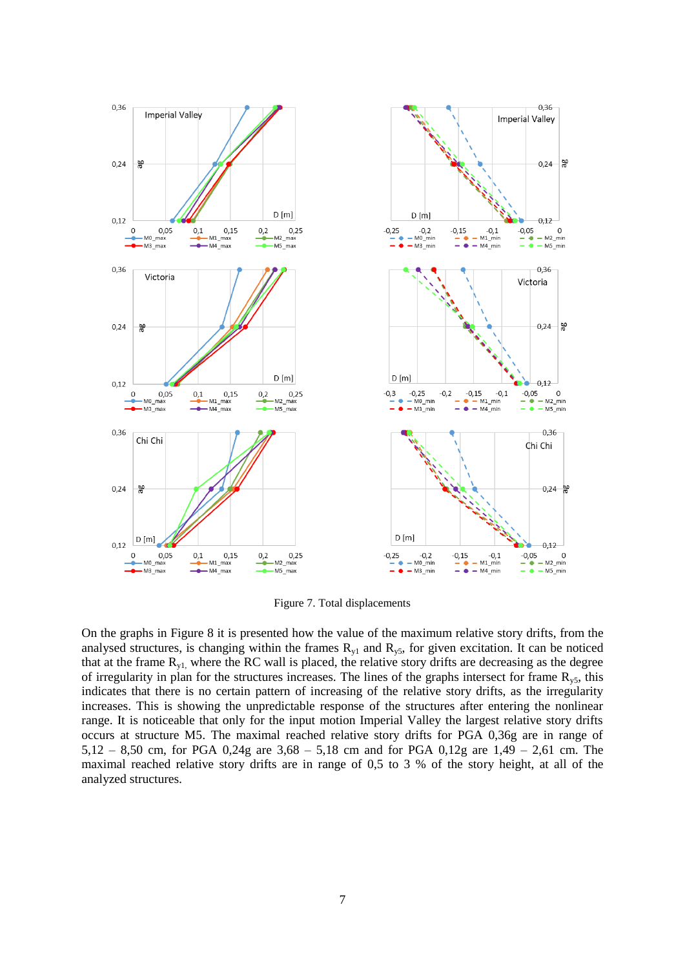

Figure 7. Total displacements

On the graphs in Figure 8 it is presented how the value of the maximum relative story drifts, from the analysed structures, is changing within the frames  $R_{y1}$  and  $R_{y5}$ , for given excitation. It can be noticed that at the frame  $R_{y1}$ , where the RC wall is placed, the relative story drifts are decreasing as the degree of irregularity in plan for the structures increases. The lines of the graphs intersect for frame  $R_{\nu 5}$ , this indicates that there is no certain pattern of increasing of the relative story drifts, as the irregularity increases. This is showing the unpredictable response of the structures after entering the nonlinear range. It is noticeable that only for the input motion Imperial Valley the largest relative story drifts occurs at structure M5. The maximal reached relative story drifts for PGA 0,36g are in range of 5,12 – 8,50 cm, for PGA 0,24g are 3,68 – 5,18 cm and for PGA 0,12g are 1,49 – 2,61 cm. The maximal reached relative story drifts are in range of 0,5 to 3 % of the story height, at all of the analyzed structures.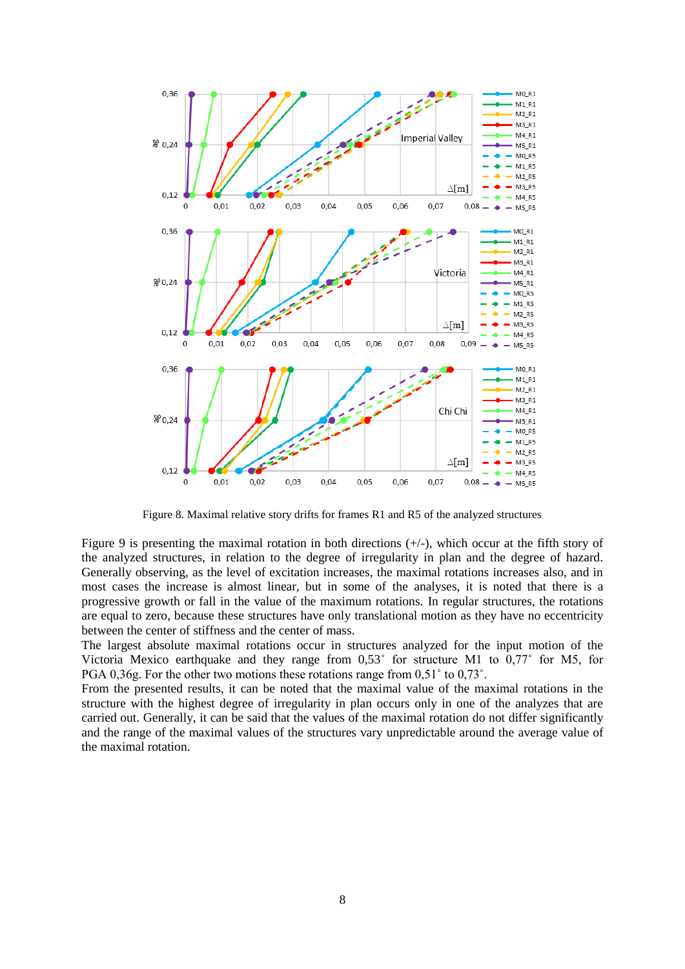

Figure 8. Maximal relative story drifts for frames R1 and R5 of the analyzed structures

Figure 9 is presenting the maximal rotation in both directions  $(+/-)$ , which occur at the fifth story of the analyzed structures, in relation to the degree of irregularity in plan and the degree of hazard. Generally observing, as the level of excitation increases, the maximal rotations increases also, and in most cases the increase is almost linear, but in some of the analyses, it is noted that there is a progressive growth or fall in the value of the maximum rotations. In regular structures, the rotations are equal to zero, because these structures have only translational motion as they have no eccentricity between the center of stiffness and the center of mass.

The largest absolute maximal rotations occur in structures analyzed for the input motion of the Victoria Mexico earthquake and they range from 0,53˚ for structure M1 to 0,77˚ for M5, for PGA 0,36g. For the other two motions these rotations range from 0,51˚ to 0,73˚.

From the presented results, it can be noted that the maximal value of the maximal rotations in the structure with the highest degree of irregularity in plan occurs only in one of the analyzes that are carried out. Generally, it can be said that the values of the maximal rotation do not differ significantly and the range of the maximal values of the structures vary unpredictable around the average value of the maximal rotation.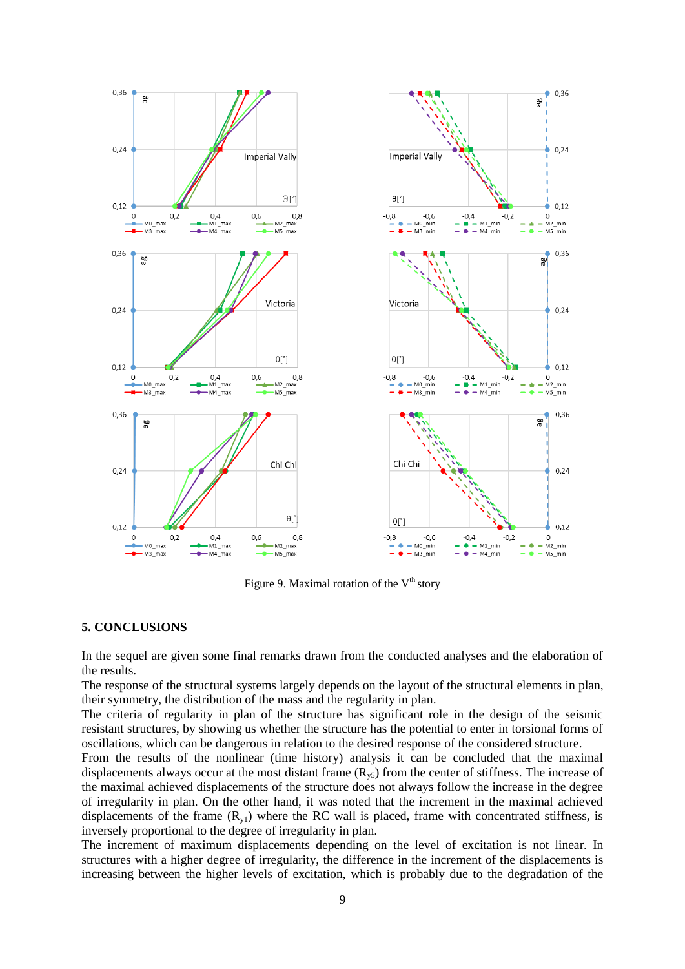

Figure 9. Maximal rotation of the  $V^{th}$  story

# **5. CONCLUSIONS**

In the sequel are given some final remarks drawn from the conducted analyses and the elaboration of the results.

The response of the structural systems largely depends on the layout of the structural elements in plan, their symmetry, the distribution of the mass and the regularity in plan.

The criteria of regularity in plan of the structure has significant role in the design of the seismic resistant structures, by showing us whether the structure has the potential to enter in torsional forms of oscillations, which can be dangerous in relation to the desired response of the considered structure.

From the results of the nonlinear (time history) analysis it can be concluded that the maximal displacements always occur at the most distant frame  $(R_{v5})$  from the center of stiffness. The increase of the maximal achieved displacements of the structure does not always follow the increase in the degree of irregularity in plan. On the other hand, it was noted that the increment in the maximal achieved displacements of the frame  $(R_{v1})$  where the RC wall is placed, frame with concentrated stiffness, is inversely proportional to the degree of irregularity in plan.

The increment of maximum displacements depending on the level of excitation is not linear. In structures with a higher degree of irregularity, the difference in the increment of the displacements is increasing between the higher levels of excitation, which is probably due to the degradation of the